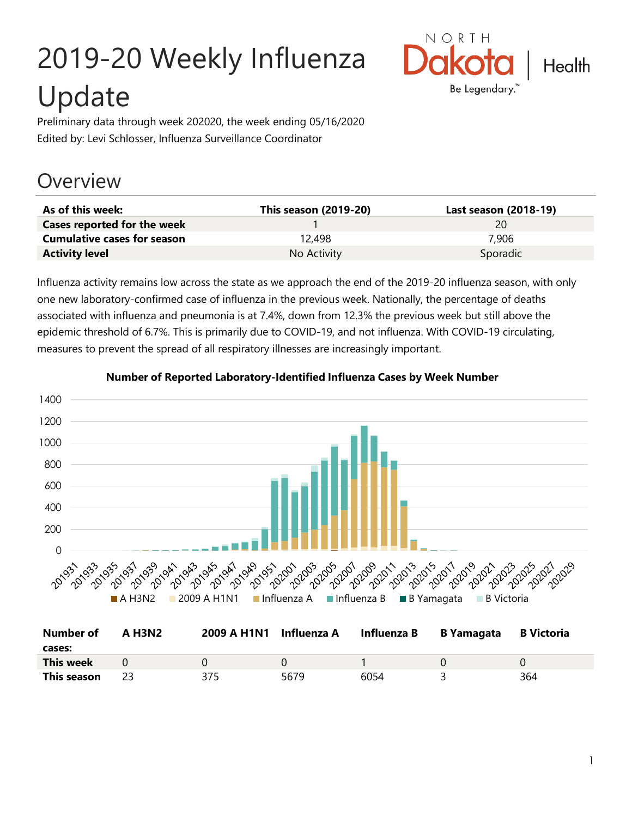# 2019-20 Weekly Influenza Update



Preliminary data through week 202020, the week ending 05/16/2020 Edited by: Levi Schlosser, Influenza Surveillance Coordinator

# **Overview**

| As of this week:                   | This season (2019-20) | Last season (2018-19) |
|------------------------------------|-----------------------|-----------------------|
| Cases reported for the week        |                       | 20                    |
| <b>Cumulative cases for season</b> | 12.498                | 7.906                 |
| <b>Activity level</b>              | No Activity           | Sporadic              |

Influenza activity remains low across the state as we approach the end of the 2019-20 influenza season, with only one new laboratory-confirmed case of influenza in the previous week. Nationally, the percentage of deaths associated with influenza and pneumonia is at 7.4%, down from 12.3% the previous week but still above the epidemic threshold of 6.7%. This is primarily due to COVID-19, and not influenza. With COVID-19 circulating, measures to prevent the spread of all respiratory illnesses are increasingly important.



#### **Number of Reported Laboratory-Identified Influenza Cases by Week Number**

| <b>Number of</b> | <b>A H3N2</b> | 2009 A H1N1 Influenza A |      | Influenza B | <b>B</b> Yamagata | <b>B</b> Victoria |
|------------------|---------------|-------------------------|------|-------------|-------------------|-------------------|
| cases:           |               |                         |      |             |                   |                   |
| <b>This week</b> |               |                         |      |             |                   |                   |
| This season      |               | 375                     | 5679 | 6054        |                   | 364               |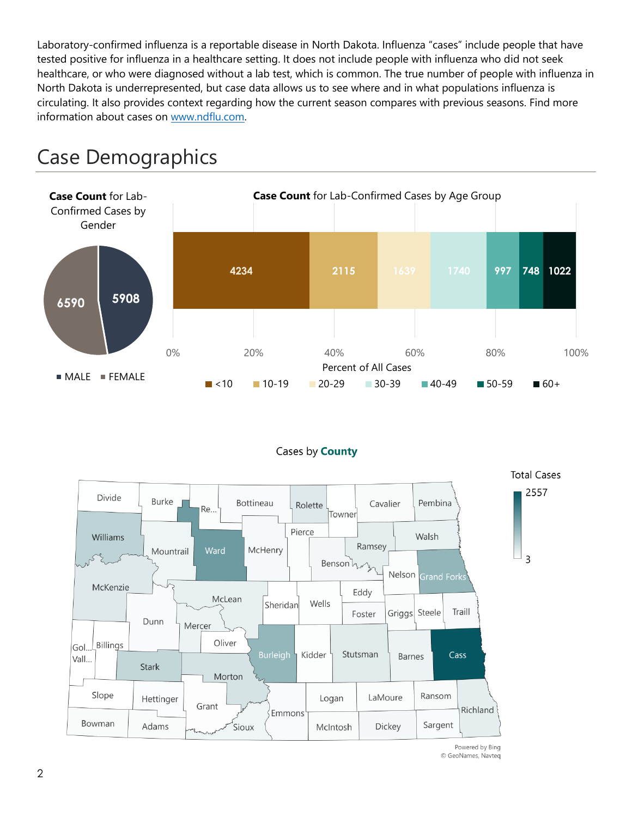Laboratory-confirmed influenza is a reportable disease in North Dakota. Influenza "cases" include people that have tested positive for influenza in a healthcare setting. It does not include people with influenza who did not seek healthcare, or who were diagnosed without a lab test, which is common. The true number of people with influenza in North Dakota is underrepresented, but case data allows us to see where and in what populations influenza is circulating. It also provides context regarding how the current season compares with previous seasons. Find more information about cases on [www.ndflu.com.](file://///nd.gov/doh/DOH-DATA/MSS/DC/PROGRAM/IMMUNE/Immunize/Influenza/Inf18-19/Surveillance/Weekly%20Summaries/www.ndflu.com)







Powered by Bing © GeoNames, Navteq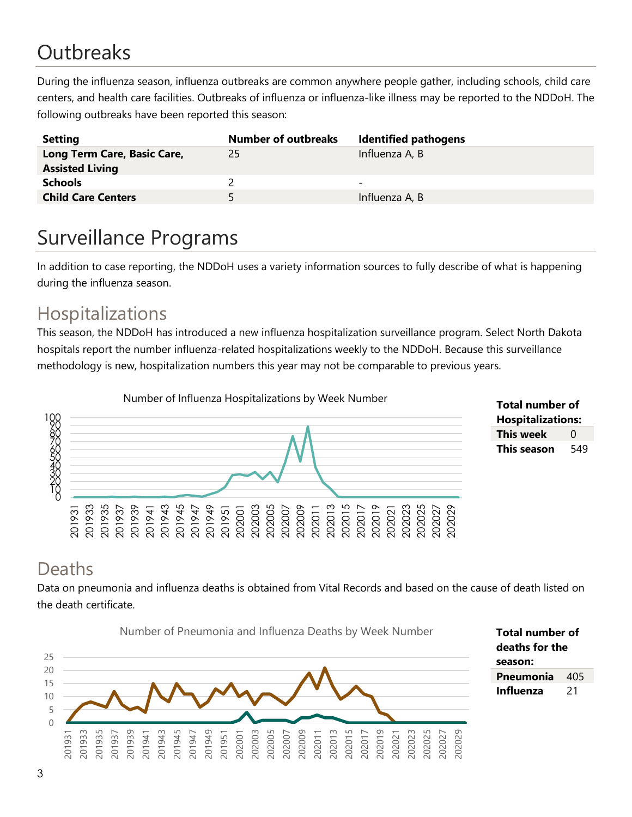# **Outbreaks**

During the influenza season, influenza outbreaks are common anywhere people gather, including schools, child care centers, and health care facilities. Outbreaks of influenza or influenza-like illness may be reported to the NDDoH. The following outbreaks have been reported this season:

| <b>Setting</b>              | <b>Number of outbreaks</b> | <b>Identified pathogens</b> |
|-----------------------------|----------------------------|-----------------------------|
| Long Term Care, Basic Care, | 25                         | Influenza A, B              |
| <b>Assisted Living</b>      |                            |                             |
| <b>Schools</b>              |                            | -                           |
| <b>Child Care Centers</b>   | 5.                         | Influenza A, B              |

# Surveillance Programs

In addition to case reporting, the NDDoH uses a variety information sources to fully describe of what is happening during the influenza season.

#### Hospitalizations

This season, the NDDoH has introduced a new influenza hospitalization surveillance program. Select North Dakota hospitals report the number influenza-related hospitalizations weekly to the NDDoH. Because this surveillance methodology is new, hospitalization numbers this year may not be comparable to previous years.



**Total number of Hospitalizations: This week** 0 **This season** 549

#### Deaths

Data on pneumonia and influenza deaths is obtained from Vital Records and based on the cause of death listed on the death certificate.

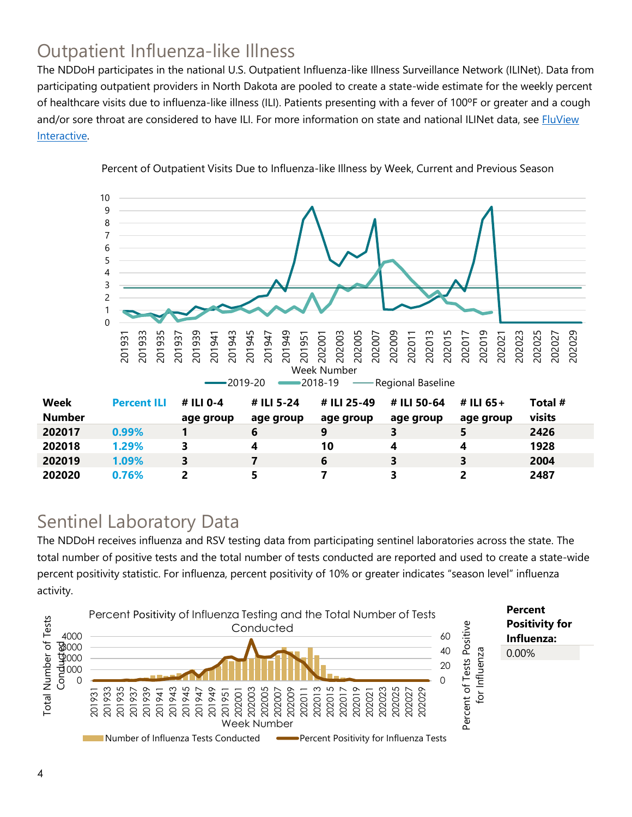## Outpatient Influenza-like Illness

The NDDoH participates in the national U.S. Outpatient Influenza-like Illness Surveillance Network (ILINet). Data from participating outpatient providers in North Dakota are pooled to create a state-wide estimate for the weekly percent of healthcare visits due to influenza-like illness (ILI). Patients presenting with a fever of 100ºF or greater and a cough and/or sore throat are considered to have ILI. For more information on state and national ILINet data, see **FluView** [Interactive.](https://gis.cdc.gov/grasp/fluview/fluportaldashboard.html)



Percent of Outpatient Visits Due to Influenza-like Illness by Week, Current and Previous Season

#### Sentinel Laboratory Data

The NDDoH receives influenza and RSV testing data from participating sentinel laboratories across the state. The total number of positive tests and the total number of tests conducted are reported and used to create a state-wide percent positivity statistic. For influenza, percent positivity of 10% or greater indicates "season level" influenza activity.

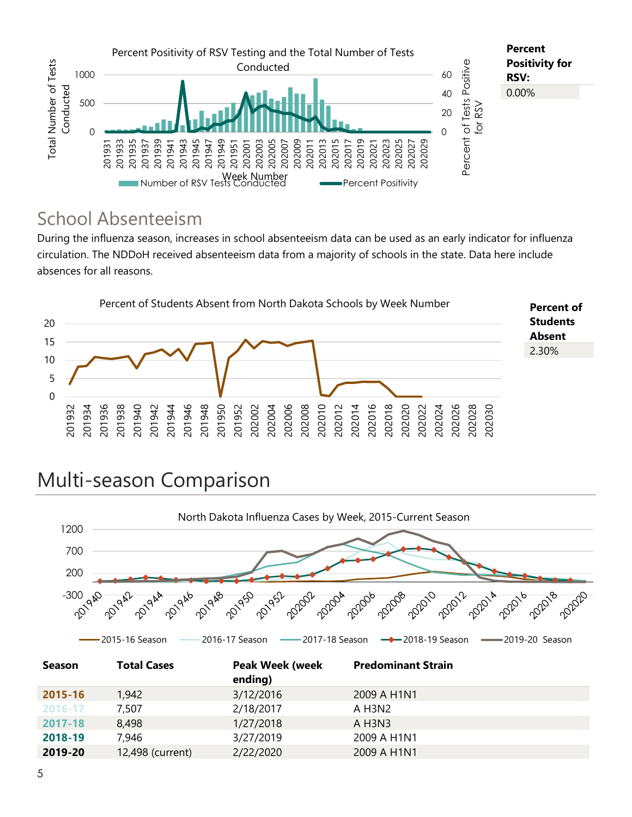

#### School Absenteeism

During the influenza season, increases in school absenteeism data can be used as an early indicator for influenza circulation. The NDDoH received absenteeism data from a majority of schools in the state. Data here include absences for all reasons.



# Multi-season Comparison